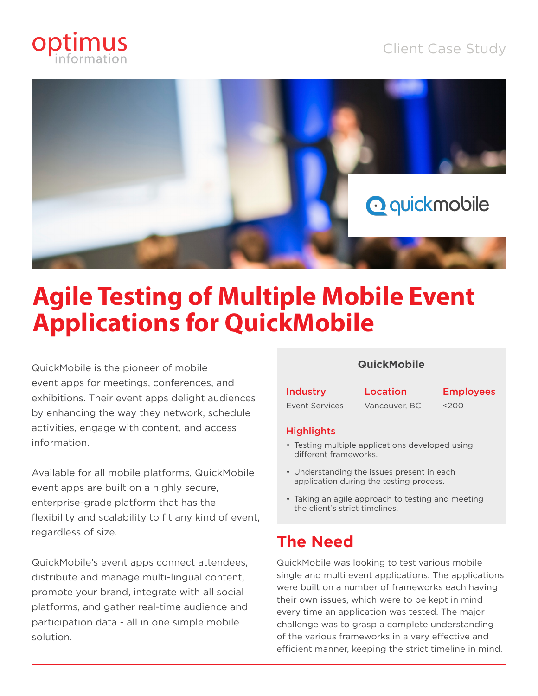### Client Case Study





# **Agile Testing of Multiple Mobile Event Applications for QuickMobile**

QuickMobile is the pioneer of mobile event apps for meetings, conferences, and exhibitions. Their event apps delight audiences by enhancing the way they network, schedule activities, engage with content, and access information.

Available for all mobile platforms, QuickMobile event apps are built on a highly secure, enterprise-grade platform that has the flexibility and scalability to fit any kind of event, regardless of size.

QuickMobile's event apps connect attendees, distribute and manage multi-lingual content, promote your brand, integrate with all social platforms, and gather real-time audience and participation data - all in one simple mobile solution.

#### **QuickMobile**

| <b>Industry</b> | Location      | <b>Employees</b> |
|-----------------|---------------|------------------|
| Event Services  | Vancouver, BC | $\langle 200$    |

### **Highlights**

- Testing multiple applications developed using different frameworks.
- Understanding the issues present in each application during the testing process.
- Taking an agile approach to testing and meeting the client's strict timelines.

## **The Need**

QuickMobile was looking to test various mobile single and multi event applications. The applications were built on a number of frameworks each having their own issues, which were to be kept in mind every time an application was tested. The major challenge was to grasp a complete understanding of the various frameworks in a very effective and efficient manner, keeping the strict timeline in mind.